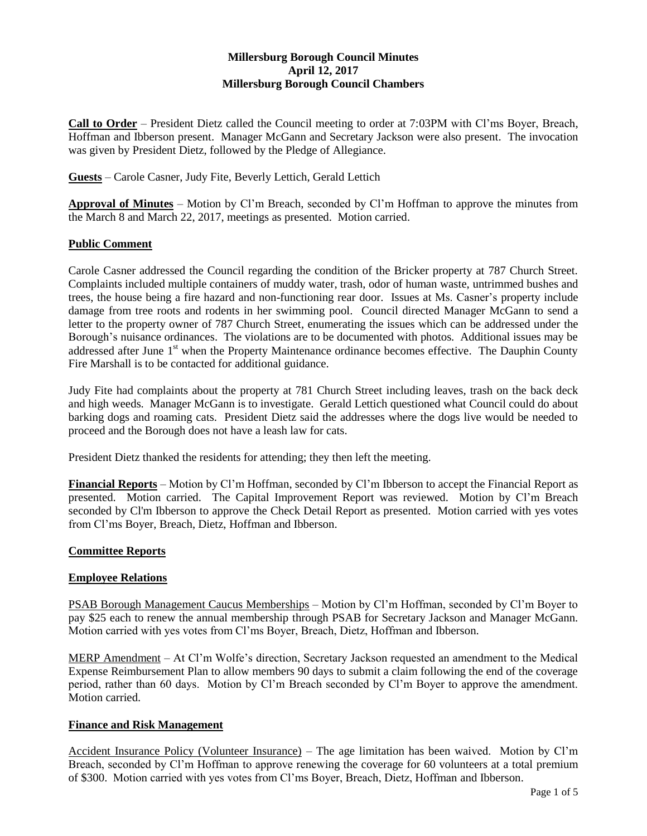# **Millersburg Borough Council Minutes April 12, 2017 Millersburg Borough Council Chambers**

**Call to Order** – President Dietz called the Council meeting to order at 7:03PM with Cl'ms Boyer, Breach, Hoffman and Ibberson present. Manager McGann and Secretary Jackson were also present. The invocation was given by President Dietz, followed by the Pledge of Allegiance.

**Guests** – Carole Casner, Judy Fite, Beverly Lettich, Gerald Lettich

**Approval of Minutes** – Motion by Cl'm Breach, seconded by Cl'm Hoffman to approve the minutes from the March 8 and March 22, 2017, meetings as presented. Motion carried.

# **Public Comment**

Carole Casner addressed the Council regarding the condition of the Bricker property at 787 Church Street. Complaints included multiple containers of muddy water, trash, odor of human waste, untrimmed bushes and trees, the house being a fire hazard and non-functioning rear door. Issues at Ms. Casner's property include damage from tree roots and rodents in her swimming pool. Council directed Manager McGann to send a letter to the property owner of 787 Church Street, enumerating the issues which can be addressed under the Borough's nuisance ordinances. The violations are to be documented with photos. Additional issues may be addressed after June 1<sup>st</sup> when the Property Maintenance ordinance becomes effective. The Dauphin County Fire Marshall is to be contacted for additional guidance.

Judy Fite had complaints about the property at 781 Church Street including leaves, trash on the back deck and high weeds. Manager McGann is to investigate. Gerald Lettich questioned what Council could do about barking dogs and roaming cats. President Dietz said the addresses where the dogs live would be needed to proceed and the Borough does not have a leash law for cats.

President Dietz thanked the residents for attending; they then left the meeting.

**Financial Reports** – Motion by Cl'm Hoffman, seconded by Cl'm Ibberson to accept the Financial Report as presented. Motion carried. The Capital Improvement Report was reviewed. Motion by Cl'm Breach seconded by Cl'm Ibberson to approve the Check Detail Report as presented. Motion carried with yes votes from Cl'ms Boyer, Breach, Dietz, Hoffman and Ibberson.

### **Committee Reports**

### **Employee Relations**

PSAB Borough Management Caucus Memberships – Motion by Cl'm Hoffman, seconded by Cl'm Boyer to pay \$25 each to renew the annual membership through PSAB for Secretary Jackson and Manager McGann. Motion carried with yes votes from Cl'ms Boyer, Breach, Dietz, Hoffman and Ibberson.

MERP Amendment – At Cl'm Wolfe's direction, Secretary Jackson requested an amendment to the Medical Expense Reimbursement Plan to allow members 90 days to submit a claim following the end of the coverage period, rather than 60 days. Motion by Cl'm Breach seconded by Cl'm Boyer to approve the amendment. Motion carried.

### **Finance and Risk Management**

Accident Insurance Policy (Volunteer Insurance) – The age limitation has been waived. Motion by Cl'm Breach, seconded by Cl'm Hoffman to approve renewing the coverage for 60 volunteers at a total premium of \$300. Motion carried with yes votes from Cl'ms Boyer, Breach, Dietz, Hoffman and Ibberson.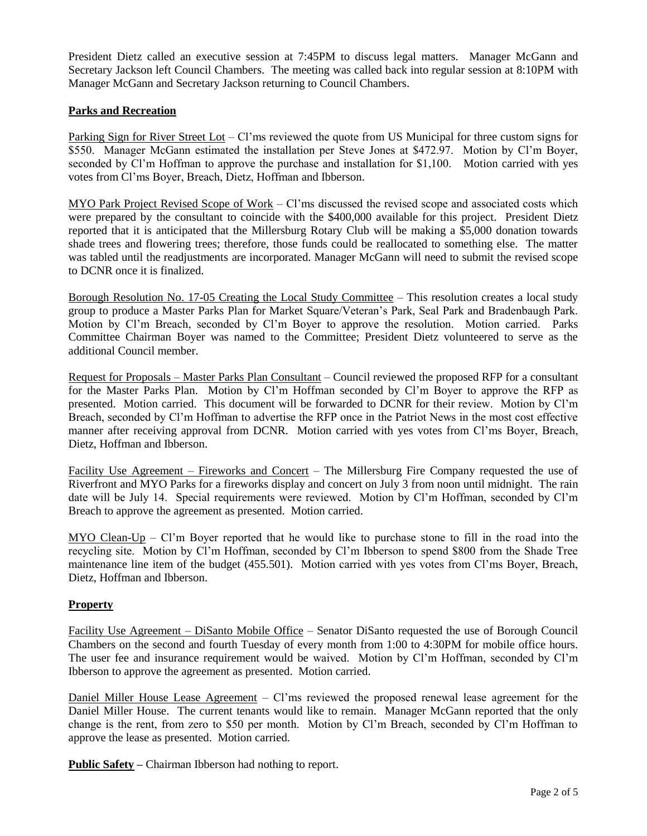President Dietz called an executive session at 7:45PM to discuss legal matters. Manager McGann and Secretary Jackson left Council Chambers. The meeting was called back into regular session at 8:10PM with Manager McGann and Secretary Jackson returning to Council Chambers.

## **Parks and Recreation**

Parking Sign for River Street Lot – Cl'ms reviewed the quote from US Municipal for three custom signs for \$550. Manager McGann estimated the installation per Steve Jones at \$472.97. Motion by Cl'm Boyer, seconded by Cl'm Hoffman to approve the purchase and installation for \$1,100. Motion carried with yes votes from Cl'ms Boyer, Breach, Dietz, Hoffman and Ibberson.

MYO Park Project Revised Scope of Work – Cl'ms discussed the revised scope and associated costs which were prepared by the consultant to coincide with the \$400,000 available for this project. President Dietz reported that it is anticipated that the Millersburg Rotary Club will be making a \$5,000 donation towards shade trees and flowering trees; therefore, those funds could be reallocated to something else. The matter was tabled until the readjustments are incorporated. Manager McGann will need to submit the revised scope to DCNR once it is finalized.

Borough Resolution No. 17-05 Creating the Local Study Committee – This resolution creates a local study group to produce a Master Parks Plan for Market Square/Veteran's Park, Seal Park and Bradenbaugh Park. Motion by Cl'm Breach, seconded by Cl'm Boyer to approve the resolution. Motion carried. Parks Committee Chairman Boyer was named to the Committee; President Dietz volunteered to serve as the additional Council member.

Request for Proposals – Master Parks Plan Consultant – Council reviewed the proposed RFP for a consultant for the Master Parks Plan. Motion by Cl'm Hoffman seconded by Cl'm Boyer to approve the RFP as presented. Motion carried. This document will be forwarded to DCNR for their review. Motion by Cl'm Breach, seconded by Cl'm Hoffman to advertise the RFP once in the Patriot News in the most cost effective manner after receiving approval from DCNR. Motion carried with yes votes from Cl'ms Boyer, Breach, Dietz, Hoffman and Ibberson.

Facility Use Agreement – Fireworks and Concert – The Millersburg Fire Company requested the use of Riverfront and MYO Parks for a fireworks display and concert on July 3 from noon until midnight. The rain date will be July 14. Special requirements were reviewed. Motion by Cl'm Hoffman, seconded by Cl'm Breach to approve the agreement as presented. Motion carried.

MYO Clean-Up – Cl'm Boyer reported that he would like to purchase stone to fill in the road into the recycling site. Motion by Cl'm Hoffman, seconded by Cl'm Ibberson to spend \$800 from the Shade Tree maintenance line item of the budget (455.501). Motion carried with yes votes from Cl'ms Boyer, Breach, Dietz, Hoffman and Ibberson.

### **Property**

Facility Use Agreement – DiSanto Mobile Office – Senator DiSanto requested the use of Borough Council Chambers on the second and fourth Tuesday of every month from 1:00 to 4:30PM for mobile office hours. The user fee and insurance requirement would be waived. Motion by Cl'm Hoffman, seconded by Cl'm Ibberson to approve the agreement as presented. Motion carried.

Daniel Miller House Lease Agreement – Cl'ms reviewed the proposed renewal lease agreement for the Daniel Miller House. The current tenants would like to remain. Manager McGann reported that the only change is the rent, from zero to \$50 per month. Motion by Cl'm Breach, seconded by Cl'm Hoffman to approve the lease as presented. Motion carried.

**Public Safety –** Chairman Ibberson had nothing to report.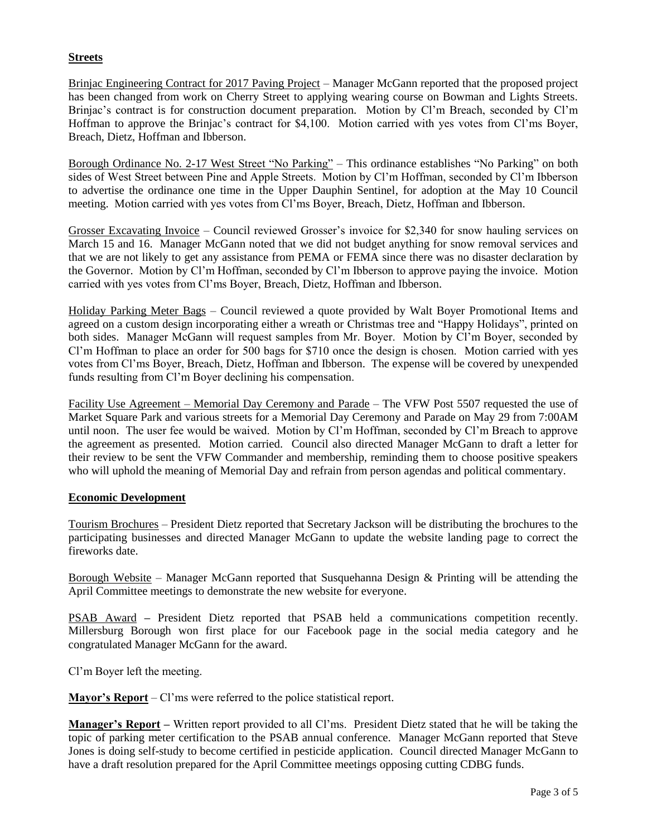## **Streets**

Brinjac Engineering Contract for 2017 Paving Project – Manager McGann reported that the proposed project has been changed from work on Cherry Street to applying wearing course on Bowman and Lights Streets. Brinjac's contract is for construction document preparation. Motion by Cl'm Breach, seconded by Cl'm Hoffman to approve the Brinjac's contract for \$4,100. Motion carried with yes votes from Cl'ms Boyer, Breach, Dietz, Hoffman and Ibberson.

Borough Ordinance No. 2-17 West Street "No Parking" – This ordinance establishes "No Parking" on both sides of West Street between Pine and Apple Streets. Motion by Cl'm Hoffman, seconded by Cl'm Ibberson to advertise the ordinance one time in the Upper Dauphin Sentinel, for adoption at the May 10 Council meeting. Motion carried with yes votes from Cl'ms Boyer, Breach, Dietz, Hoffman and Ibberson.

Grosser Excavating Invoice – Council reviewed Grosser's invoice for \$2,340 for snow hauling services on March 15 and 16. Manager McGann noted that we did not budget anything for snow removal services and that we are not likely to get any assistance from PEMA or FEMA since there was no disaster declaration by the Governor. Motion by Cl'm Hoffman, seconded by Cl'm Ibberson to approve paying the invoice. Motion carried with yes votes from Cl'ms Boyer, Breach, Dietz, Hoffman and Ibberson.

Holiday Parking Meter Bags – Council reviewed a quote provided by Walt Boyer Promotional Items and agreed on a custom design incorporating either a wreath or Christmas tree and "Happy Holidays", printed on both sides. Manager McGann will request samples from Mr. Boyer. Motion by Cl'm Boyer, seconded by Cl'm Hoffman to place an order for 500 bags for \$710 once the design is chosen. Motion carried with yes votes from Cl'ms Boyer, Breach, Dietz, Hoffman and Ibberson. The expense will be covered by unexpended funds resulting from Cl'm Boyer declining his compensation.

Facility Use Agreement – Memorial Day Ceremony and Parade – The VFW Post 5507 requested the use of Market Square Park and various streets for a Memorial Day Ceremony and Parade on May 29 from 7:00AM until noon. The user fee would be waived. Motion by Cl'm Hoffman, seconded by Cl'm Breach to approve the agreement as presented. Motion carried. Council also directed Manager McGann to draft a letter for their review to be sent the VFW Commander and membership, reminding them to choose positive speakers who will uphold the meaning of Memorial Day and refrain from person agendas and political commentary.

### **Economic Development**

Tourism Brochures – President Dietz reported that Secretary Jackson will be distributing the brochures to the participating businesses and directed Manager McGann to update the website landing page to correct the fireworks date.

Borough Website – Manager McGann reported that Susquehanna Design & Printing will be attending the April Committee meetings to demonstrate the new website for everyone.

PSAB Award **–** President Dietz reported that PSAB held a communications competition recently. Millersburg Borough won first place for our Facebook page in the social media category and he congratulated Manager McGann for the award.

Cl'm Boyer left the meeting.

**Mayor's Report** – Cl'ms were referred to the police statistical report.

**Manager's Report –** Written report provided to all Cl'ms. President Dietz stated that he will be taking the topic of parking meter certification to the PSAB annual conference. Manager McGann reported that Steve Jones is doing self-study to become certified in pesticide application. Council directed Manager McGann to have a draft resolution prepared for the April Committee meetings opposing cutting CDBG funds.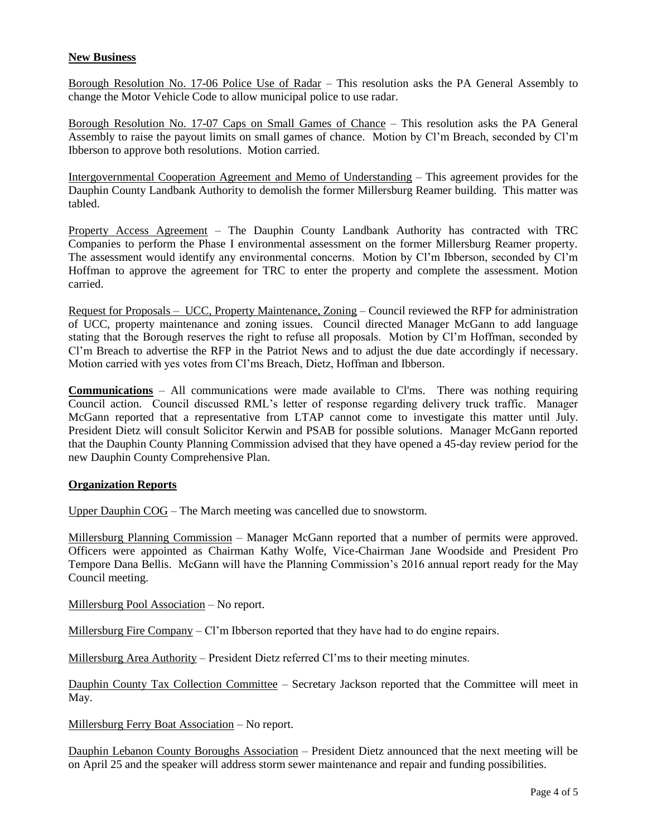## **New Business**

Borough Resolution No. 17-06 Police Use of Radar – This resolution asks the PA General Assembly to change the Motor Vehicle Code to allow municipal police to use radar.

Borough Resolution No. 17-07 Caps on Small Games of Chance – This resolution asks the PA General Assembly to raise the payout limits on small games of chance. Motion by Cl'm Breach, seconded by Cl'm Ibberson to approve both resolutions. Motion carried.

Intergovernmental Cooperation Agreement and Memo of Understanding – This agreement provides for the Dauphin County Landbank Authority to demolish the former Millersburg Reamer building. This matter was tabled.

Property Access Agreement – The Dauphin County Landbank Authority has contracted with TRC Companies to perform the Phase I environmental assessment on the former Millersburg Reamer property. The assessment would identify any environmental concerns. Motion by Cl'm Ibberson, seconded by Cl'm Hoffman to approve the agreement for TRC to enter the property and complete the assessment. Motion carried.

Request for Proposals – UCC, Property Maintenance, Zoning – Council reviewed the RFP for administration of UCC, property maintenance and zoning issues. Council directed Manager McGann to add language stating that the Borough reserves the right to refuse all proposals. Motion by Cl'm Hoffman, seconded by Cl'm Breach to advertise the RFP in the Patriot News and to adjust the due date accordingly if necessary. Motion carried with yes votes from Cl'ms Breach, Dietz, Hoffman and Ibberson.

**Communications** – All communications were made available to Cl'ms. There was nothing requiring Council action. Council discussed RML's letter of response regarding delivery truck traffic. Manager McGann reported that a representative from LTAP cannot come to investigate this matter until July. President Dietz will consult Solicitor Kerwin and PSAB for possible solutions. Manager McGann reported that the Dauphin County Planning Commission advised that they have opened a 45-day review period for the new Dauphin County Comprehensive Plan.

### **Organization Reports**

Upper Dauphin COG – The March meeting was cancelled due to snowstorm.

Millersburg Planning Commission – Manager McGann reported that a number of permits were approved. Officers were appointed as Chairman Kathy Wolfe, Vice-Chairman Jane Woodside and President Pro Tempore Dana Bellis. McGann will have the Planning Commission's 2016 annual report ready for the May Council meeting.

Millersburg Pool Association – No report.

Millersburg Fire Company – Cl'm Ibberson reported that they have had to do engine repairs.

Millersburg Area Authority – President Dietz referred Cl'ms to their meeting minutes.

Dauphin County Tax Collection Committee – Secretary Jackson reported that the Committee will meet in May.

Millersburg Ferry Boat Association – No report.

Dauphin Lebanon County Boroughs Association – President Dietz announced that the next meeting will be on April 25 and the speaker will address storm sewer maintenance and repair and funding possibilities.